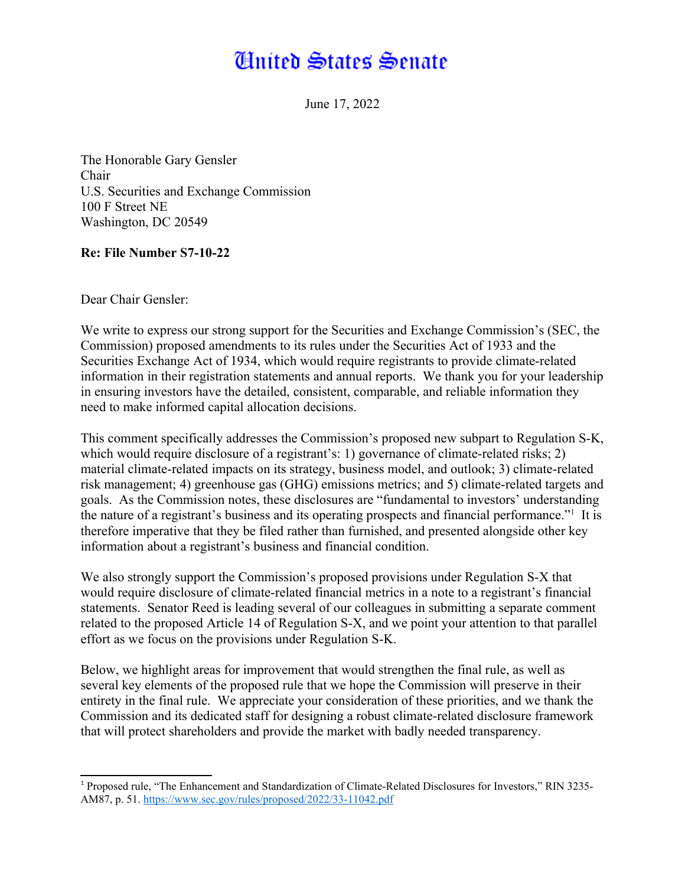# **Huited States Senate**

<span id="page-0-0"></span>June 17, 2022

The Honorable Gary Gensler Chair U.S. Securities and Exchange Commission 100 F Street NE Washington, DC 20549

#### **Re: File Number S7-10-22**

Dear Chair Gensler:

We write to express our strong support for the Securities and Exchange Commission's (SEC, the Commission) proposed amendments to its rules under the Securities Act of 1933 and the Securities Exchange Act of 1934, which would require registrants to provide climate-related information in their registration statements and annual reports. We thank you for your leadership in ensuring investors have the detailed, consistent, comparable, and reliable information they need to make informed capital allocation decisions.

This comment specifically addresses the Commission's proposed new subpart to Regulation S-K, which would require disclosure of a registrant's: 1) governance of climate-related risks; 2) material climate-related impacts on its strategy, business model, and outlook; 3) climate-related risk management; 4) greenhouse gas (GHG) emissions metrics; and 5) climate-related targets and goals. As the Commission notes, these disclosures are "fundamental to investors' understanding the nature of a registrant's business and its operating prospects and financial performance."<sup>[1](#page-0-1)</sup> It is therefore imperative that they be filed rather than furnished, and presented alongside other key information about a registrant's business and financial condition.

We also strongly support the Commission's proposed provisions under Regulation S-X that would require disclosure of climate-related financial metrics in a note to a registrant's financial statements. Senator Reed is leading several of our colleagues in submitting a separate comment related to the proposed Article 14 of Regulation S-X, and we point your attention to that parallel effort as we focus on the provisions under Regulation S-K.

Below, we highlight areas for improvement that would strengthen the final rule, as well as several key elements of the proposed rule that we hope the Commission will preserve in their entirety in the final rule. We appreciate your consideration of these priorities, and we thank the Commission and its dedicated staff for designing a robust climate-related disclosure framework that will protect shareholders and provide the market with badly needed transparency.

<span id="page-0-1"></span><sup>&</sup>lt;sup>[1](#page-0-0)</sup> Proposed rule, "The Enhancement and Standardization of Climate-Related Disclosures for Investors," RIN 3235-AM87, p. 51.<https://www.sec.gov/rules/proposed/2022/33-11042.pdf>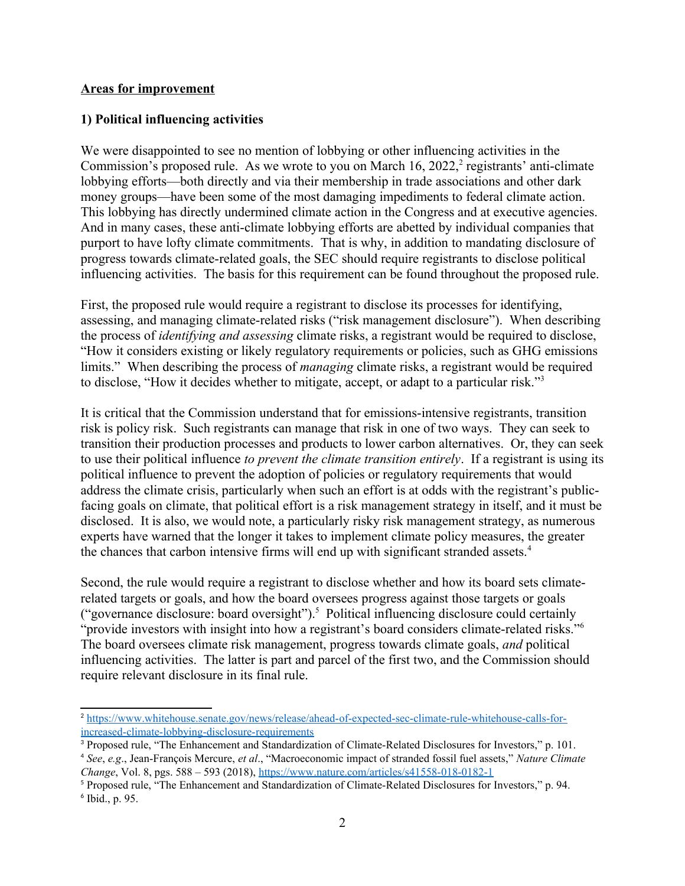#### **Areas for improvement**

#### **1) Political influencing activities**

<span id="page-1-0"></span>We were disappointed to see no mention of lobbying or other influencing activities in the Commission's proposed rule. As we wrote to you on March 16, [2](#page-1-1)022.<sup>2</sup> registrants' anti-climate lobbying efforts—both directly and via their membership in trade associations and other dark money groups—have been some of the most damaging impediments to federal climate action. This lobbying has directly undermined climate action in the Congress and at executive agencies. And in many cases, these anti-climate lobbying efforts are abetted by individual companies that purport to have lofty climate commitments. That is why, in addition to mandating disclosure of progress towards climate-related goals, the SEC should require registrants to disclose political influencing activities. The basis for this requirement can be found throughout the proposed rule.

First, the proposed rule would require a registrant to disclose its processes for identifying, assessing, and managing climate-related risks ("risk management disclosure"). When describing the process of *identifying and assessing* climate risks, a registrant would be required to disclose, "How it considers existing or likely regulatory requirements or policies, such as GHG emissions limits." When describing the process of *managing* climate risks, a registrant would be required to disclose, "How it decides whether to mitigate, accept, or adapt to a particular risk."[3](#page-1-3)

<span id="page-1-2"></span>It is critical that the Commission understand that for emissions-intensive registrants, transition risk is policy risk. Such registrants can manage that risk in one of two ways. They can seek to transition their production processes and products to lower carbon alternatives. Or, they can seek to use their political influence *to prevent the climate transition entirely*. If a registrant is using its political influence to prevent the adoption of policies or regulatory requirements that would address the climate crisis, particularly when such an effort is at odds with the registrant's publicfacing goals on climate, that political effort is a risk management strategy in itself, and it must be disclosed. It is also, we would note, a particularly risky risk management strategy, as numerous experts have warned that the longer it takes to implement climate policy measures, the greater the chances that carbon intensive firms will end up with significant stranded assets.<sup>[4](#page-1-5)</sup>

<span id="page-1-8"></span><span id="page-1-6"></span><span id="page-1-4"></span>Second, the rule would require a registrant to disclose whether and how its board sets climaterelated targets or goals, and how the board oversees progress against those targets or goals "governance disclosure: board oversight").<sup>[5](#page-1-7)</sup> Political influencing disclosure could certainly "provide investors with insight into how a registrant's board considers climate-related risks."<sup>[6](#page-1-9)</sup> The board oversees climate risk management, progress towards climate goals, *and* political influencing activities. The latter is part and parcel of the first two, and the Commission should require relevant disclosure in its final rule.

<span id="page-1-1"></span>[<sup>2</sup>](#page-1-0) [https://www.whitehouse.senate.gov/news/release/ahead-of-expected-sec-climate-rule-whitehouse-calls-for](https://www.whitehouse.senate.gov/news/release/ahead-of-expected-sec-climate-rule-whitehouse-calls-for-increased-climate-lobbying-disclosure-requirements)[increased-climate-lobbying-disclosure-requirements](https://www.whitehouse.senate.gov/news/release/ahead-of-expected-sec-climate-rule-whitehouse-calls-for-increased-climate-lobbying-disclosure-requirements)

<span id="page-1-3"></span><sup>&</sup>lt;sup>[3](#page-1-2)</sup> Proposed rule, "The Enhancement and Standardization of Climate-Related Disclosures for Investors," p. 101.

<span id="page-1-5"></span>[<sup>4</sup>](#page-1-4) *See*, *e.g*., Jean-François Mercure, *et al*., "Macroeconomic impact of stranded fossil fuel assets," *Nature Climate Change*, Vol. 8, pgs. 588 – 593 (2018),<https://www.nature.com/articles/s41558-018-0182-1>

<span id="page-1-9"></span><span id="page-1-7"></span><sup>&</sup>lt;sup>[5](#page-1-6)</sup> Proposed rule, "The Enhancement and Standardization of Climate-Related Disclosures for Investors," p. 94.  $6$  Ibid., p. 95.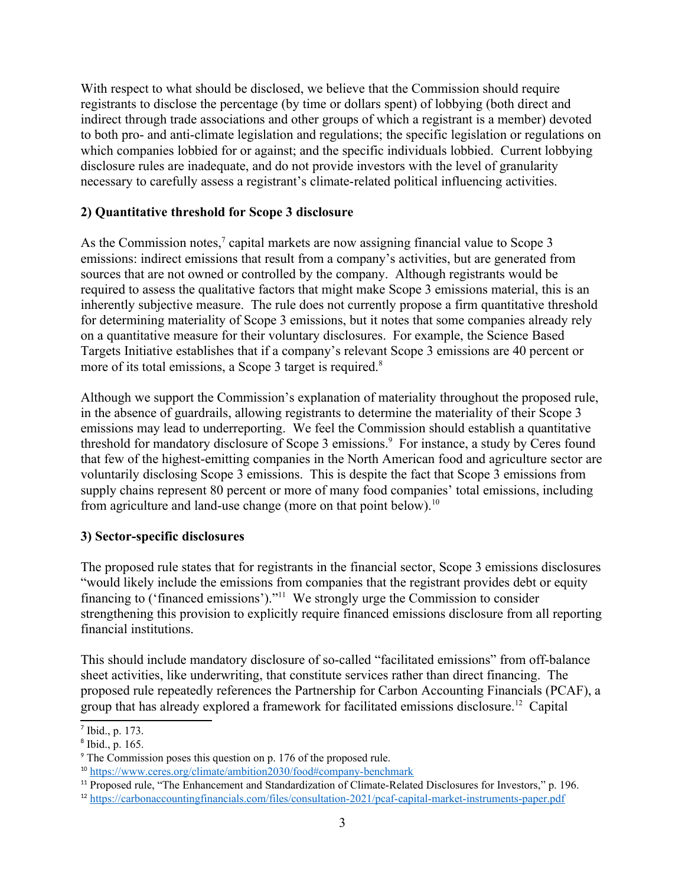With respect to what should be disclosed, we believe that the Commission should require registrants to disclose the percentage (by time or dollars spent) of lobbying (both direct and indirect through trade associations and other groups of which a registrant is a member) devoted to both pro- and anti-climate legislation and regulations; the specific legislation or regulations on which companies lobbied for or against; and the specific individuals lobbied. Current lobbying disclosure rules are inadequate, and do not provide investors with the level of granularity necessary to carefully assess a registrant's climate-related political influencing activities.

# **2) Quantitative threshold for Scope 3 disclosure**

<span id="page-2-0"></span>As the Commission notes.<sup>[7](#page-2-1)</sup> capital markets are now assigning financial value to Scope 3 emissions: indirect emissions that result from a company's activities, but are generated from sources that are not owned or controlled by the company. Although registrants would be required to assess the qualitative factors that might make Scope 3 emissions material, this is an inherently subjective measure. The rule does not currently propose a firm quantitative threshold for determining materiality of Scope 3 emissions, but it notes that some companies already rely on a quantitative measure for their voluntary disclosures. For example, the Science Based Targets Initiative establishes that if a company's relevant Scope 3 emissions are 40 percent or more of its total emissions, a Scope 3 target is required.<sup>[8](#page-2-3)</sup>

<span id="page-2-4"></span><span id="page-2-2"></span>Although we support the Commission's explanation of materiality throughout the proposed rule, in the absence of guardrails, allowing registrants to determine the materiality of their Scope 3 emissions may lead to underreporting. We feel the Commission should establish a quantitative threshold for mandatory disclosure of Scope 3 emissions.<sup>[9](#page-2-5)</sup> For instance, a study by Ceres found that few of the highest-emitting companies in the North American food and agriculture sector are voluntarily disclosing Scope 3 emissions. This is despite the fact that Scope 3 emissions from supply chains represent 80 percent or more of many food companies' total emissions, including from agriculture and land-use change (more on that point below).[10](#page-2-7)

# <span id="page-2-6"></span>**3) Sector-specific disclosures**

<span id="page-2-8"></span>The proposed rule states that for registrants in the financial sector, Scope 3 emissions disclosures "would likely include the emissions from companies that the registrant provides debt or equity financing to ('financed emissions')."[11](#page-2-9) We strongly urge the Commission to consider strengthening this provision to explicitly require financed emissions disclosure from all reporting financial institutions.

This should include mandatory disclosure of so-called "facilitated emissions" from off-balance sheet activities, like underwriting, that constitute services rather than direct financing. The proposed rule repeatedly references the Partnership for Carbon Accounting Financials (PCAF), a group that has already explored a framework for facilitated emissions disclosure.[12](#page-2-11) Capital

<span id="page-2-10"></span><span id="page-2-1"></span> $<sup>7</sup>$  $<sup>7</sup>$  $<sup>7</sup>$  Ibid., p. 173.</sup>

<span id="page-2-3"></span>[<sup>8</sup>](#page-2-2) Ibid., p. 165.

<span id="page-2-5"></span><sup>&</sup>lt;sup>[9](#page-2-4)</sup> The Commission poses this question on p. 176 of the proposed rule.

<span id="page-2-7"></span><sup>&</sup>lt;sup>[10](#page-2-6)</sup> <https://www.ceres.org/climate/ambition2030/food#company-benchmark>

<span id="page-2-9"></span><sup>&</sup>lt;sup>[11](#page-2-8)</sup> Proposed rule, "The Enhancement and Standardization of Climate-Related Disclosures for Investors," p. 196.

<span id="page-2-11"></span>[<sup>12</sup>](#page-2-10) <https://carbonaccountingfinancials.com/files/consultation-2021/pcaf-capital-market-instruments-paper.pdf>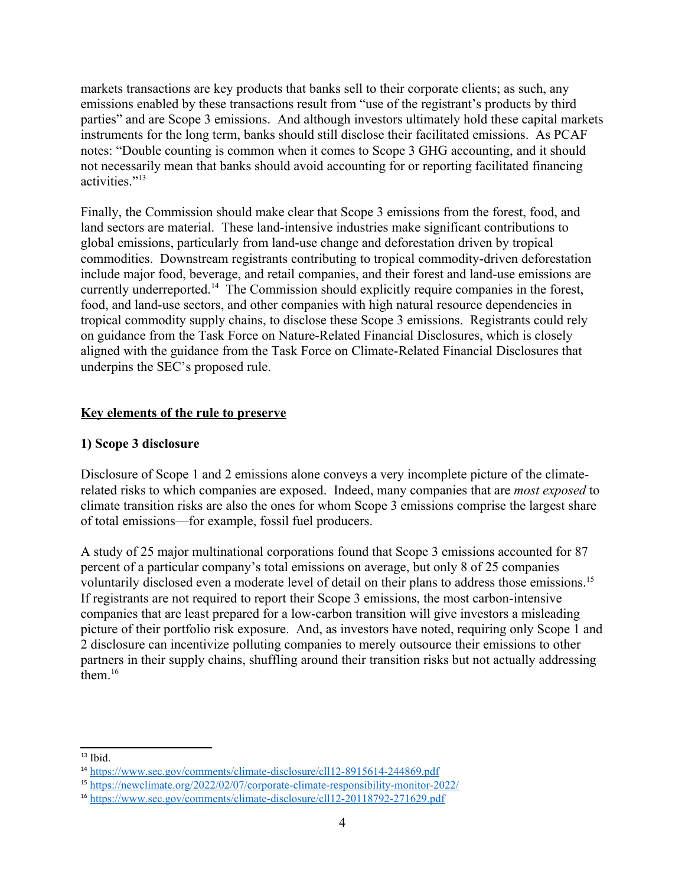markets transactions are key products that banks sell to their corporate clients; as such, any emissions enabled by these transactions result from "use of the registrant's products by third parties" and are Scope 3 emissions. And although investors ultimately hold these capital markets instruments for the long term, banks should still disclose their facilitated emissions. As PCAF notes: "Double counting is common when it comes to Scope 3 GHG accounting, and it should not necessarily mean that banks should avoid accounting for or reporting facilitated financing activities<sup>"[13](#page-3-1)</sup>

<span id="page-3-2"></span><span id="page-3-0"></span>Finally, the Commission should make clear that Scope 3 emissions from the forest, food, and land sectors are material. These land-intensive industries make significant contributions to global emissions, particularly from land-use change and deforestation driven by tropical commodities. Downstream registrants contributing to tropical commodity-driven deforestation include major food, beverage, and retail companies, and their forest and land-use emissions are currently underreported.[14](#page-3-3) The Commission should explicitly require companies in the forest, food, and land-use sectors, and other companies with high natural resource dependencies in tropical commodity supply chains, to disclose these Scope 3 emissions. Registrants could rely on guidance from the Task Force on Nature-Related Financial Disclosures, which is closely aligned with the guidance from the Task Force on Climate-Related Financial Disclosures that underpins the SEC's proposed rule.

# **Key elements of the rule to preserve**

# **1) Scope 3 disclosure**

Disclosure of Scope 1 and 2 emissions alone conveys a very incomplete picture of the climaterelated risks to which companies are exposed. Indeed, many companies that are *most exposed* to climate transition risks are also the ones for whom Scope 3 emissions comprise the largest share of total emissions—for example, fossil fuel producers.

<span id="page-3-4"></span>A study of 25 major multinational corporations found that Scope 3 emissions accounted for 87 percent of a particular company's total emissions on average, but only 8 of 25 companies voluntarily disclosed even a moderate level of detail on their plans to address those emissions.<sup>[15](#page-3-5)</sup> If registrants are not required to report their Scope 3 emissions, the most carbon-intensive companies that are least prepared for a low-carbon transition will give investors a misleading picture of their portfolio risk exposure. And, as investors have noted, requiring only Scope 1 and 2 disclosure can incentivize polluting companies to merely outsource their emissions to other partners in their supply chains, shuffling around their transition risks but not actually addressing them $16$ 

<span id="page-3-6"></span><span id="page-3-1"></span> $13$  Ibid.

<span id="page-3-3"></span>[<sup>14</sup>](#page-3-2) <https://www.sec.gov/comments/climate-disclosure/cll12-8915614-244869.pdf>

<span id="page-3-5"></span>[<sup>15</sup>](#page-3-4) <https://newclimate.org/2022/02/07/corporate-climate-responsibility-monitor-2022/>

<span id="page-3-7"></span>[<sup>16</sup>](#page-3-6) <https://www.sec.gov/comments/climate-disclosure/cll12-20118792-271629.pdf>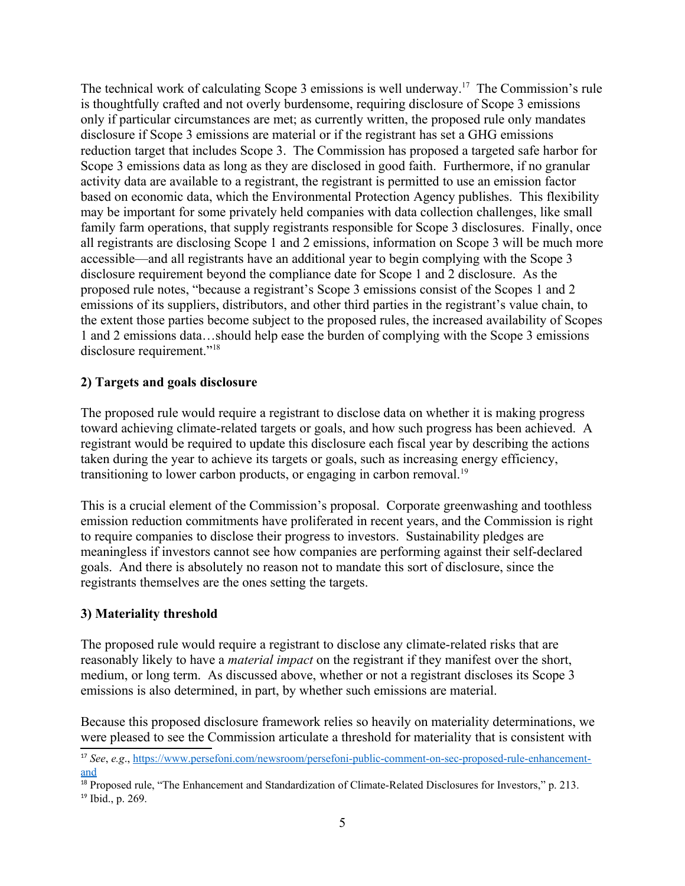<span id="page-4-0"></span>The technical work of calculating Scope 3 emissions is well underway.<sup>[17](#page-4-1)</sup> The Commission's rule is thoughtfully crafted and not overly burdensome, requiring disclosure of Scope 3 emissions only if particular circumstances are met; as currently written, the proposed rule only mandates disclosure if Scope 3 emissions are material or if the registrant has set a GHG emissions reduction target that includes Scope 3. The Commission has proposed a targeted safe harbor for Scope 3 emissions data as long as they are disclosed in good faith. Furthermore, if no granular activity data are available to a registrant, the registrant is permitted to use an emission factor based on economic data, which the Environmental Protection Agency publishes. This flexibility may be important for some privately held companies with data collection challenges, like small family farm operations, that supply registrants responsible for Scope 3 disclosures. Finally, once all registrants are disclosing Scope 1 and 2 emissions, information on Scope 3 will be much more accessible—and all registrants have an additional year to begin complying with the Scope 3 disclosure requirement beyond the compliance date for Scope 1 and 2 disclosure. As the proposed rule notes, "because a registrant's Scope 3 emissions consist of the Scopes 1 and 2 emissions of its suppliers, distributors, and other third parties in the registrant's value chain, to the extent those parties become subject to the proposed rules, the increased availability of Scopes 1 and 2 emissions data…should help ease the burden of complying with the Scope 3 emissions disclosure requirement."<sup>[18](#page-4-3)</sup>

# <span id="page-4-2"></span>**2) Targets and goals disclosure**

The proposed rule would require a registrant to disclose data on whether it is making progress toward achieving climate-related targets or goals, and how such progress has been achieved. A registrant would be required to update this disclosure each fiscal year by describing the actions taken during the year to achieve its targets or goals, such as increasing energy efficiency, transitioning to lower carbon products, or engaging in carbon removal.<sup>[19](#page-4-5)</sup>

<span id="page-4-4"></span>This is a crucial element of the Commission's proposal. Corporate greenwashing and toothless emission reduction commitments have proliferated in recent years, and the Commission is right to require companies to disclose their progress to investors. Sustainability pledges are meaningless if investors cannot see how companies are performing against their self-declared goals. And there is absolutely no reason not to mandate this sort of disclosure, since the registrants themselves are the ones setting the targets.

#### **3) Materiality threshold**

The proposed rule would require a registrant to disclose any climate-related risks that are reasonably likely to have a *material impact* on the registrant if they manifest over the short, medium, or long term. As discussed above, whether or not a registrant discloses its Scope 3 emissions is also determined, in part, by whether such emissions are material.

Because this proposed disclosure framework relies so heavily on materiality determinations, we were pleased to see the Commission articulate a threshold for materiality that is consistent with

<span id="page-4-1"></span>[<sup>17</sup>](#page-4-0) *See*, *e.g*., [https://www.persefoni.com/newsroom/persefoni-public-comment-on-sec-proposed-rule-enhancement](https://www.persefoni.com/newsroom/persefoni-public-comment-on-sec-proposed-rule-enhancement-and)[and](https://www.persefoni.com/newsroom/persefoni-public-comment-on-sec-proposed-rule-enhancement-and)

<span id="page-4-5"></span><span id="page-4-3"></span><sup>&</sup>lt;sup>[18](#page-4-2)</sup> Proposed rule, "The Enhancement and Standardization of Climate-Related Disclosures for Investors," p. 213. [19](#page-4-4) Ibid., p. 269.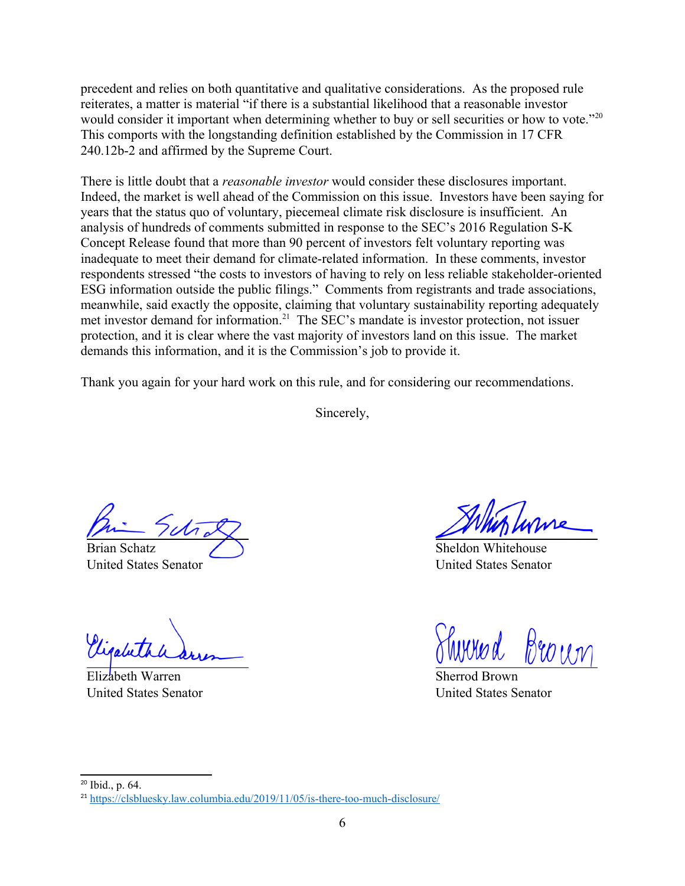precedent and relies on both quantitative and qualitative considerations. As the proposed rule reiterates, a matter is material "if there is a substantial likelihood that a reasonable investor would consider it important when determining whether to buy or sell securities or how to vote."[20](#page-5-1) This comports with the longstanding definition established by the Commission in 17 CFR 240.12b-2 and affirmed by the Supreme Court.

There is little doubt that a *reasonable investor* would consider these disclosures important. Indeed, the market is well ahead of the Commission on this issue. Investors have been saying for years that the status quo of voluntary, piecemeal climate risk disclosure is insufficient. An analysis of hundreds of comments submitted in response to the SEC's 2016 Regulation S-K Concept Release found that more than 90 percent of investors felt voluntary reporting was inadequate to meet their demand for climate-related information. In these comments, investor respondents stressed "the costs to investors of having to rely on less reliable stakeholder-oriented ESG information outside the public filings." Comments from registrants and trade associations, meanwhile, said exactly the opposite, claiming that voluntary sustainability reporting adequately met investor demand for information.[21](#page-5-3) The SEC's mandate is investor protection, not issuer protection, and it is clear where the vast majority of investors land on this issue. The market demands this information, and it is the Commission's job to provide it.

Thank you again for your hard work on this rule, and for considering our recommendations.

<span id="page-5-2"></span><span id="page-5-0"></span>Sincerely,

Brian Schatz United States Senator

Vigalet

Elizabeth Warren United States Senator

Sheldon Whitehouse United States Senator

hivyes d

Sherrod Brown United States Senator

<span id="page-5-1"></span> $20$  Ibid., p. 64.

<span id="page-5-3"></span><sup>&</sup>lt;sup>[21](#page-5-2)</sup> <https://clsbluesky.law.columbia.edu/2019/11/05/is-there-too-much-disclosure/>